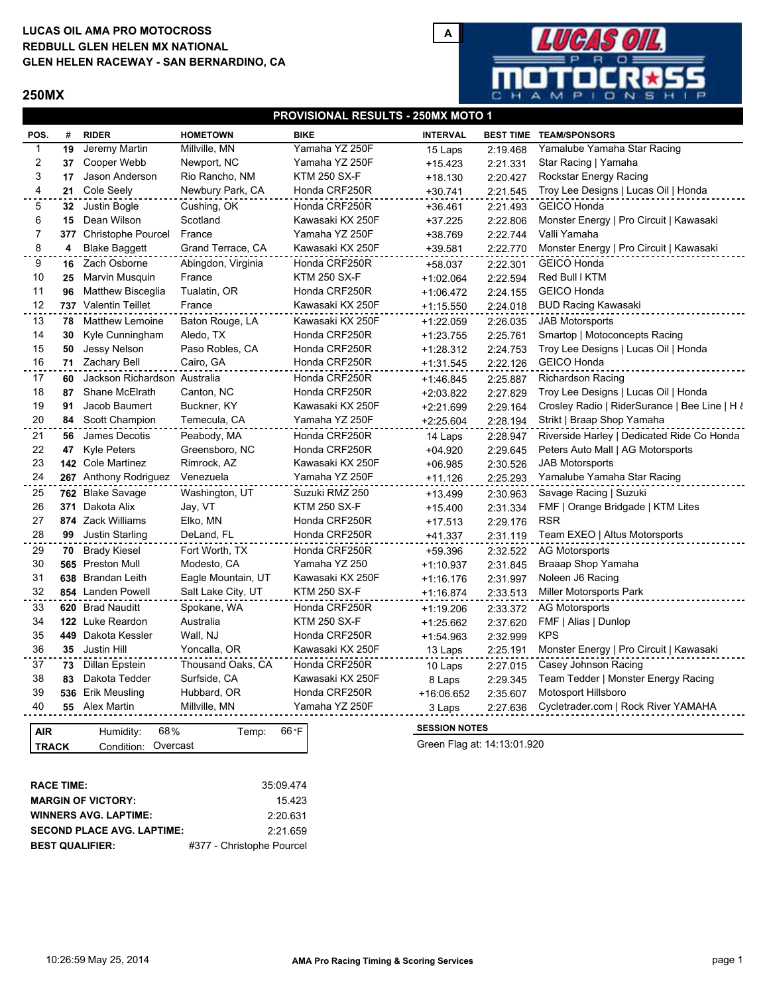# **LUCAS OIL AMA PRO MOTOCROSS GLEN HELEN RACEWAY - SAN BERNARDINO, CA REDBULL GLEN HELEN MX NATIONAL**

#### **250MX**



### **PROVISIONAL RESULTS - 250MX MOTO 1**

| POS.           | #   | <b>RIDER</b>                 | <b>HOMETOWN</b>    | <b>BIKE</b>         | <b>INTERVAL</b>      |          | <b>BEST TIME TEAM/SPONSORS</b>                |
|----------------|-----|------------------------------|--------------------|---------------------|----------------------|----------|-----------------------------------------------|
| -1             | 19  | Jeremy Martin                | Millville, MN      | Yamaha YZ 250F      | 15 Laps              | 2:19.468 | Yamalube Yamaha Star Racing                   |
| 2              | 37  | Cooper Webb                  | Newport, NC        | Yamaha YZ 250F      | $+15.423$            | 2:21.331 | Star Racing   Yamaha                          |
| 3              | 17  | Jason Anderson               | Rio Rancho, NM     | <b>KTM 250 SX-F</b> | $+18.130$            | 2:20.427 | Rockstar Energy Racing                        |
| 4              |     | 21 Cole Seely                | Newbury Park, CA   | Honda CRF250R       | $+30.741$            | 2:21.545 | Troy Lee Designs   Lucas Oil   Honda          |
| 5              |     | 32 Justin Bogle              | Cushing, OK        | Honda CRF250R       | $+36.461$            | 2:21.493 | <b>GEICO Honda</b>                            |
| 6              | 15  | Dean Wilson                  | Scotland           | Kawasaki KX 250F    | +37.225              | 2:22.806 | Monster Energy   Pro Circuit   Kawasaki       |
| $\overline{7}$ | 377 | <b>Christophe Pourcel</b>    | France             | Yamaha YZ 250F      | +38.769              | 2:22.744 | Valli Yamaha                                  |
| 8              | 4   | <b>Blake Baggett</b>         | Grand Terrace, CA  | Kawasaki KX 250F    | +39.581              | 2:22.770 | Monster Energy   Pro Circuit   Kawasaki       |
| 9              |     | 16 Zach Osborne              | Abingdon, Virginia | Honda CRF250R       | +58.037              | 2:22.301 | <b>GEICO Honda</b>                            |
| 10             | 25  | Marvin Musquin               | France             | <b>KTM 250 SX-F</b> | $+1:02.064$          | 2:22.594 | Red Bull I KTM                                |
| 11             | 96  | <b>Matthew Bisceglia</b>     | Tualatin, OR       | Honda CRF250R       | $+1:06.472$          | 2:24.155 | <b>GEICO Honda</b>                            |
| 12             |     | 737 Valentin Teillet         | France             | Kawasaki KX 250F    | $+1:15.550$          | 2:24.018 | <b>BUD Racing Kawasaki</b>                    |
| 13             | 78  | <b>Matthew Lemoine</b>       | Baton Rouge, LA    | Kawasaki KX 250F    | $+1:22.059$          | 2:26.035 | <b>JAB Motorsports</b>                        |
| 14             | 30  | Kyle Cunningham              | Aledo, TX          | Honda CRF250R       | $+1:23.755$          | 2:25.761 | Smartop   Motoconcepts Racing                 |
| 15             | 50  | Jessy Nelson                 | Paso Robles, CA    | Honda CRF250R       | $+1:28.312$          | 2:24.753 | Troy Lee Designs   Lucas Oil   Honda          |
| 16             |     | 71 Zachary Bell              | Cairo, GA          | Honda CRF250R       | $+1:31.545$          | 2:22.126 | <b>GEICO Honda</b>                            |
| 17             | 60  | Jackson Richardson Australia |                    | Honda CRF250R       | $+1:46.845$          | 2:25.887 | <b>Richardson Racing</b>                      |
| 18             | 87  | Shane McElrath               | Canton, NC         | Honda CRF250R       | $+2:03.822$          | 2:27.829 | Troy Lee Designs   Lucas Oil   Honda          |
| 19             | 91  | Jacob Baumert                | Buckner, KY        | Kawasaki KX 250F    | $+2:21.699$          | 2:29.164 | Crosley Radio   RiderSurance   Bee Line   H ł |
| 20             |     | 84 Scott Champion            | Temecula, CA       | Yamaha YZ 250F      | $+2:25.604$          | 2:28.194 | Strikt   Braap Shop Yamaha                    |
| 21             | 56  | James Decotis                | Peabody, MA        | Honda CRF250R       | 14 Laps              | 2:28.947 | Riverside Harley   Dedicated Ride Co Honda    |
| 22             | 47  | <b>Kyle Peters</b>           | Greensboro, NC     | Honda CRF250R       | $+04.920$            | 2:29.645 | Peters Auto Mall   AG Motorsports             |
| 23             |     | 142 Cole Martinez            | Rimrock, AZ        | Kawasaki KX 250F    | $+06.985$            | 2:30.526 | <b>JAB Motorsports</b>                        |
| 24             |     | 267 Anthony Rodriguez        | Venezuela          | Yamaha YZ 250F      | $+11.126$            | 2:25.293 | Yamalube Yamaha Star Racing                   |
| 25             |     | 762 Blake Savage             | Washington, UT     | Suzuki RMZ 250      | $+13.499$            | 2:30.963 | Savage Racing   Suzuki                        |
| 26             | 371 | Dakota Alix                  | Jay, VT            | <b>KTM 250 SX-F</b> | $+15.400$            | 2:31.334 | FMF   Orange Bridgade   KTM Lites             |
| 27             |     | 874 Zack Williams            | Elko, MN           | Honda CRF250R       | $+17.513$            | 2:29.176 | <b>RSR</b>                                    |
| 28             | 99  | Justin Starling              | DeLand, FL         | Honda CRF250R       | +41.337              | 2:31.119 | Team EXEO   Altus Motorsports                 |
| 29             |     | 70 Brady Kiesel              | Fort Worth, TX     | Honda CRF250R       | $+59.396$            | 2:32.522 | <b>AG Motorsports</b>                         |
| 30             |     | 565 Preston Mull             | Modesto, CA        | Yamaha YZ 250       | $+1:10.937$          | 2:31.845 | Braaap Shop Yamaha                            |
| 31             |     | 638 Brandan Leith            | Eagle Mountain, UT | Kawasaki KX 250F    | $+1:16.176$          | 2:31.997 | Noleen J6 Racing                              |
| 32             |     | 854 Landen Powell            | Salt Lake City, UT | <b>KTM 250 SX-F</b> | $+1:16.874$          | 2:33.513 | Miller Motorsports Park                       |
| 33             |     | 620 Brad Nauditt             | Spokane, WA        | Honda CRF250R       | $+1:19.206$          | 2:33.372 | <b>AG Motorsports</b>                         |
| 34             |     | 122 Luke Reardon             | Australia          | <b>KTM 250 SX-F</b> | $+1:25.662$          | 2:37.620 | FMF   Alias   Dunlop                          |
| 35             |     | 449 Dakota Kessler           | Wall, NJ           | Honda CRF250R       | $+1:54.963$          | 2:32.999 | <b>KPS</b>                                    |
| 36             |     | 35 Justin Hill               | Yoncalla, OR       | Kawasaki KX 250F    | 13 Laps              | 2:25.191 | Monster Energy   Pro Circuit   Kawasaki       |
| 37             | 73  | Dillan Epstein               | Thousand Oaks, CA  | Honda CRF250R       |                      | 2:27.015 | Casey Johnson Racing                          |
| 38             | 83  | Dakota Tedder                | Surfside, CA       | Kawasaki KX 250F    | 10 Laps<br>8 Laps    | 2:29.345 | Team Tedder   Monster Energy Racing           |
| 39             |     | 536 Erik Meusling            | Hubbard, OR        | Honda CRF250R       | +16:06.652           | 2:35.607 | Motosport Hillsboro                           |
| 40             |     | 55 Alex Martin               | Millville, MN      | Yamaha YZ 250F      | 3 Laps               | 2:27.636 | Cycletrader.com   Rock River YAMAHA           |
|                |     |                              |                    |                     |                      |          |                                               |
| <b>AIR</b>     |     | 68%<br>Humidity:             | Temp:              | 66 °F               | <b>SESSION NOTES</b> |          |                                               |

| <b>TRACK</b> | Condition: Overcast |  |  |  |
|--------------|---------------------|--|--|--|
|              |                     |  |  |  |
|              |                     |  |  |  |

Green Flag at: 14:13:01.920

| <b>RACE TIME:</b>                 | 35:09.474                 |
|-----------------------------------|---------------------------|
| <b>MARGIN OF VICTORY:</b>         | 15423                     |
| <b>WINNERS AVG. LAPTIME:</b>      | 2:20.631                  |
| <b>SECOND PLACE AVG. LAPTIME:</b> | 2:21.659                  |
| <b>BEST QUALIFIER:</b>            | #377 - Christophe Pourcel |